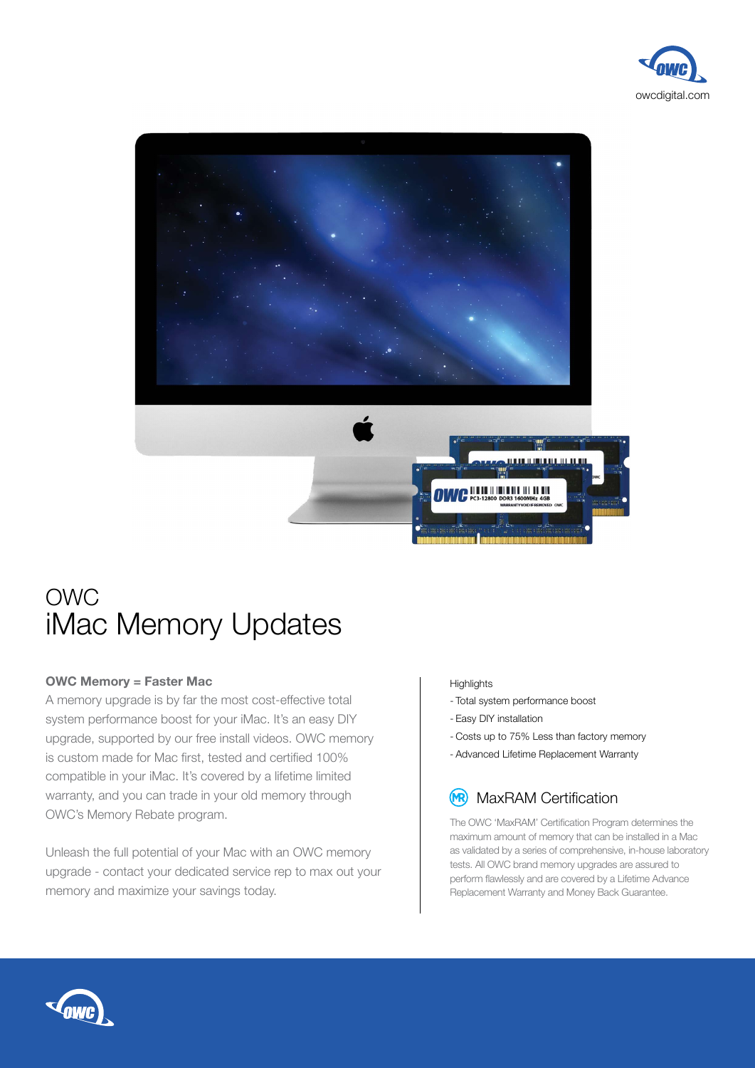



## OWC iMac Memory Updates

## **OWC Memory = Faster Mac**

A memory upgrade is by far the most cost-effective total system performance boost for your iMac. It's an easy DIY upgrade, supported by our free install videos. OWC memory is custom made for Mac first, tested and certified 100% compatible in your iMac. It's covered by a lifetime limited warranty, and you can trade in your old memory through OWC's Memory Rebate program.

Unleash the full potential of your Mac with an OWC memory upgrade - contact your dedicated service rep to max out your memory and maximize your savings today.

## **Highlights**

- Total system performance boost
- Easy DIY installation
- Costs up to 75% Less than factory memory
- Advanced Lifetime Replacement Warranty

## (MR) MaxRAM Certification

The OWC 'MaxRAM' Certification Program determines the maximum amount of memory that can be installed in a Mac as validated by a series of comprehensive, in-house laboratory tests. All OWC brand memory upgrades are assured to perform flawlessly and are covered by a Lifetime Advance Replacement Warranty and Money Back Guarantee.